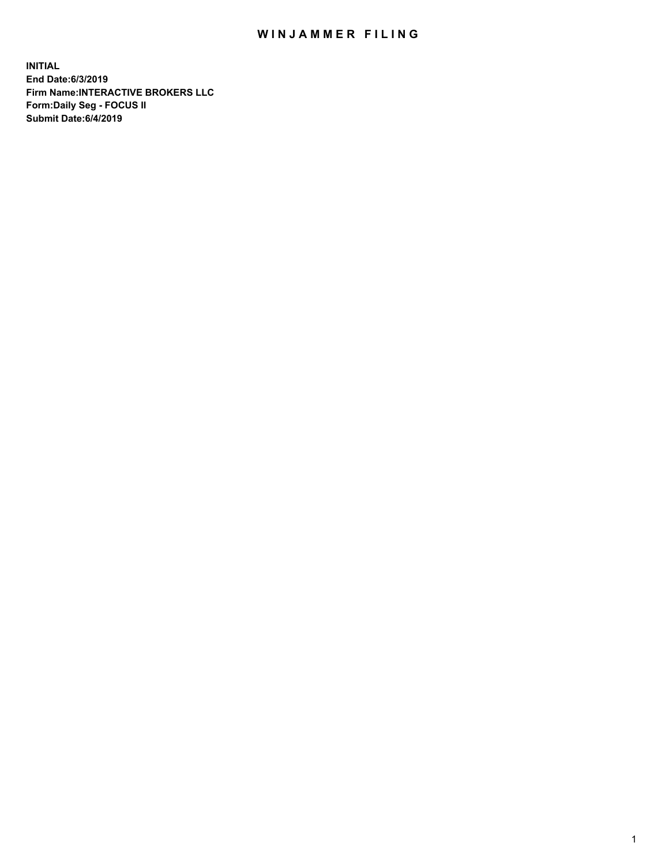## WIN JAMMER FILING

**INITIAL End Date:6/3/2019 Firm Name:INTERACTIVE BROKERS LLC Form:Daily Seg - FOCUS II Submit Date:6/4/2019**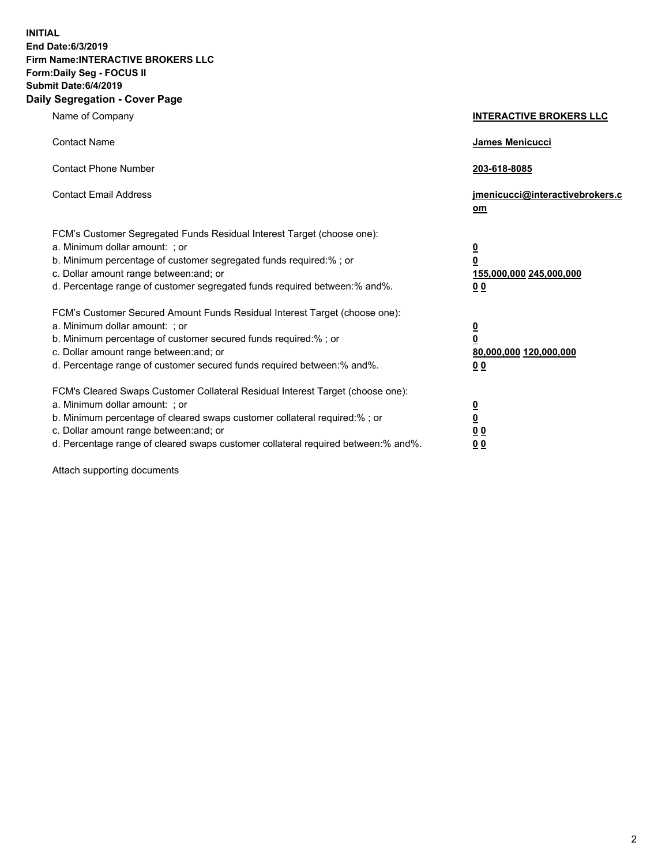**INITIAL End Date:6/3/2019 Firm Name:INTERACTIVE BROKERS LLC Form:Daily Seg - FOCUS II Submit Date:6/4/2019 Daily Segregation - Cover Page**

| Name of Company                                                                                                                                                                                                                                                                                                                | <b>INTERACTIVE BROKERS LLC</b>                                                                  |
|--------------------------------------------------------------------------------------------------------------------------------------------------------------------------------------------------------------------------------------------------------------------------------------------------------------------------------|-------------------------------------------------------------------------------------------------|
| <b>Contact Name</b>                                                                                                                                                                                                                                                                                                            | <b>James Menicucci</b>                                                                          |
| <b>Contact Phone Number</b>                                                                                                                                                                                                                                                                                                    | 203-618-8085                                                                                    |
| <b>Contact Email Address</b>                                                                                                                                                                                                                                                                                                   | jmenicucci@interactivebrokers.c<br>om                                                           |
| FCM's Customer Segregated Funds Residual Interest Target (choose one):<br>a. Minimum dollar amount: ; or<br>b. Minimum percentage of customer segregated funds required:% ; or<br>c. Dollar amount range between: and; or<br>d. Percentage range of customer segregated funds required between:% and%.                         | $\overline{\mathbf{0}}$<br>$\overline{\mathbf{0}}$<br>155,000,000 245,000,000<br>0 <sub>0</sub> |
| FCM's Customer Secured Amount Funds Residual Interest Target (choose one):<br>a. Minimum dollar amount: ; or<br>b. Minimum percentage of customer secured funds required:%; or<br>c. Dollar amount range between: and; or<br>d. Percentage range of customer secured funds required between:% and%.                            | $\frac{0}{0}$<br>80,000,000 120,000,000<br>0 <sub>0</sub>                                       |
| FCM's Cleared Swaps Customer Collateral Residual Interest Target (choose one):<br>a. Minimum dollar amount: ; or<br>b. Minimum percentage of cleared swaps customer collateral required:% ; or<br>c. Dollar amount range between: and; or<br>d. Percentage range of cleared swaps customer collateral required between:% and%. | $\frac{0}{0}$<br>0 <sub>0</sub><br>0 <sub>0</sub>                                               |

Attach supporting documents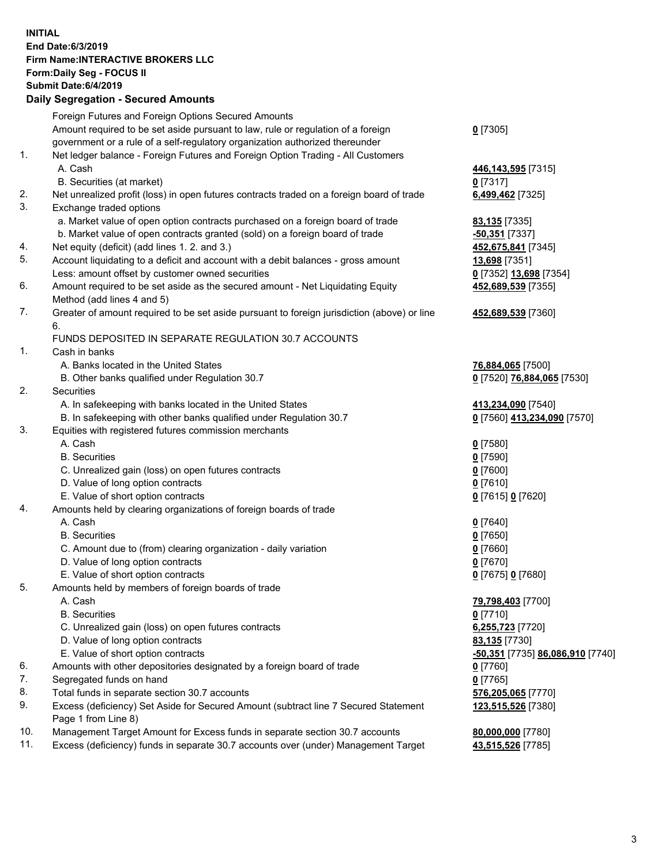## **INITIAL End Date:6/3/2019 Firm Name:INTERACTIVE BROKERS LLC Form:Daily Seg - FOCUS II Submit Date:6/4/2019 Daily Segregation - Secured Amounts**

|                | Foreign Futures and Foreign Options Secured Amounts                                               |                                                |
|----------------|---------------------------------------------------------------------------------------------------|------------------------------------------------|
|                | Amount required to be set aside pursuant to law, rule or regulation of a foreign                  | $0$ [7305]                                     |
|                | government or a rule of a self-regulatory organization authorized thereunder                      |                                                |
| $\mathbf{1}$ . | Net ledger balance - Foreign Futures and Foreign Option Trading - All Customers                   |                                                |
|                | A. Cash                                                                                           | 446, 143, 595 [7315]                           |
|                | B. Securities (at market)                                                                         | $0$ [7317]                                     |
| 2.             | Net unrealized profit (loss) in open futures contracts traded on a foreign board of trade         | 6,499,462 [7325]                               |
| 3.             | Exchange traded options                                                                           |                                                |
|                | a. Market value of open option contracts purchased on a foreign board of trade                    | 83,135 [7335]                                  |
|                | b. Market value of open contracts granted (sold) on a foreign board of trade                      | -50,351 [7337]                                 |
| 4.             | Net equity (deficit) (add lines 1. 2. and 3.)                                                     | 452,675,841 [7345]                             |
| 5.             | Account liquidating to a deficit and account with a debit balances - gross amount                 | 13,698 [7351]                                  |
|                | Less: amount offset by customer owned securities                                                  | 0 [7352] 13,698 [7354]                         |
| 6.             | Amount required to be set aside as the secured amount - Net Liquidating Equity                    | 452,689,539 [7355]                             |
|                | Method (add lines 4 and 5)                                                                        |                                                |
| 7.             | Greater of amount required to be set aside pursuant to foreign jurisdiction (above) or line<br>6. | 452,689,539 [7360]                             |
|                | FUNDS DEPOSITED IN SEPARATE REGULATION 30.7 ACCOUNTS                                              |                                                |
| $\mathbf{1}$ . | Cash in banks                                                                                     |                                                |
|                | A. Banks located in the United States                                                             | 76,884,065 [7500]                              |
|                | B. Other banks qualified under Regulation 30.7                                                    | 0 [7520] 76,884,065 [7530]                     |
| 2.             | Securities                                                                                        |                                                |
|                | A. In safekeeping with banks located in the United States                                         | 413,234,090 [7540]                             |
|                | B. In safekeeping with other banks qualified under Regulation 30.7                                | 0 [7560] 413,234,090 [7570]                    |
| 3.             | Equities with registered futures commission merchants                                             |                                                |
|                | A. Cash                                                                                           | $0$ [7580]                                     |
|                | <b>B.</b> Securities                                                                              | $0$ [7590]                                     |
|                | C. Unrealized gain (loss) on open futures contracts                                               | $0$ [7600]                                     |
|                | D. Value of long option contracts                                                                 | $0$ [7610]                                     |
|                | E. Value of short option contracts                                                                | 0 [7615] 0 [7620]                              |
| 4.             | Amounts held by clearing organizations of foreign boards of trade                                 |                                                |
|                | A. Cash                                                                                           | $0$ [7640]                                     |
|                | <b>B.</b> Securities                                                                              | $0$ [7650]                                     |
|                | C. Amount due to (from) clearing organization - daily variation                                   | $0$ [7660]                                     |
|                | D. Value of long option contracts                                                                 | $0$ [7670]                                     |
|                | E. Value of short option contracts                                                                | 0 [7675] 0 [7680]                              |
| 5.             | Amounts held by members of foreign boards of trade                                                |                                                |
|                | A. Cash                                                                                           | 79,798,403 [7700]                              |
|                | <b>B.</b> Securities                                                                              | $0$ [7710]                                     |
|                | C. Unrealized gain (loss) on open futures contracts                                               | 6,255,723 [7720]                               |
|                | D. Value of long option contracts                                                                 | 83,135 [7730]                                  |
|                | E. Value of short option contracts                                                                | <u>-50,351</u> [7735] <u>86,086,910</u> [7740] |
| 6.             | Amounts with other depositories designated by a foreign board of trade                            | $0$ [7760]                                     |
| 7.             | Segregated funds on hand                                                                          | $0$ [7765]                                     |
| 8.             | Total funds in separate section 30.7 accounts                                                     | 576,205,065 [7770]                             |
| 9.             | Excess (deficiency) Set Aside for Secured Amount (subtract line 7 Secured Statement               | 123,515,526 [7380]                             |
|                | Page 1 from Line 8)                                                                               |                                                |
| 10.            | Management Target Amount for Excess funds in separate section 30.7 accounts                       | 80,000,000 [7780]                              |
| 11.            | Excess (deficiency) funds in separate 30.7 accounts over (under) Management Target                | 43,515,526 [7785]                              |
|                |                                                                                                   |                                                |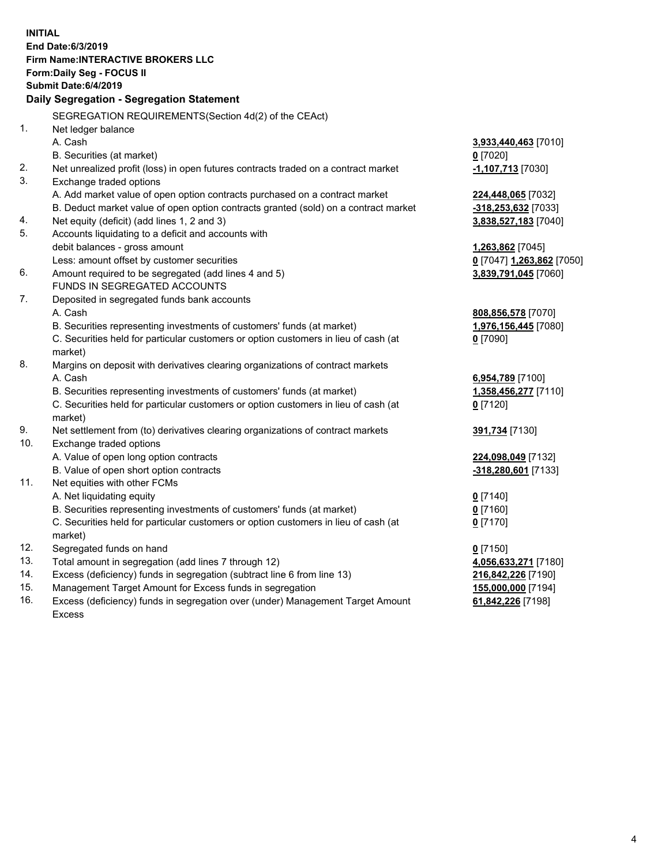|     | <b>INITIAL</b>                                                                       |                           |
|-----|--------------------------------------------------------------------------------------|---------------------------|
|     | End Date: 6/3/2019                                                                   |                           |
|     | Firm Name: INTERACTIVE BROKERS LLC                                                   |                           |
|     | Form: Daily Seg - FOCUS II                                                           |                           |
|     | <b>Submit Date:6/4/2019</b>                                                          |                           |
|     | Daily Segregation - Segregation Statement                                            |                           |
|     |                                                                                      |                           |
|     | SEGREGATION REQUIREMENTS(Section 4d(2) of the CEAct)                                 |                           |
| 1.  | Net ledger balance                                                                   |                           |
|     | A. Cash                                                                              | 3,933,440,463 [7010]      |
|     | B. Securities (at market)                                                            | $0$ [7020]                |
| 2.  | Net unrealized profit (loss) in open futures contracts traded on a contract market   | -1,107,713 [7030]         |
| 3.  | Exchange traded options                                                              |                           |
|     | A. Add market value of open option contracts purchased on a contract market          | 224,448,065 [7032]        |
|     | B. Deduct market value of open option contracts granted (sold) on a contract market  | -318,253,632 [7033]       |
| 4.  | Net equity (deficit) (add lines 1, 2 and 3)                                          | 3,838,527,183 [7040]      |
| 5.  | Accounts liquidating to a deficit and accounts with                                  |                           |
|     | debit balances - gross amount                                                        | 1,263,862 [7045]          |
|     | Less: amount offset by customer securities                                           | 0 [7047] 1,263,862 [7050] |
| 6.  | Amount required to be segregated (add lines 4 and 5)<br>FUNDS IN SEGREGATED ACCOUNTS | 3,839,791,045 [7060]      |
| 7.  |                                                                                      |                           |
|     | Deposited in segregated funds bank accounts<br>A. Cash                               | 808,856,578 [7070]        |
|     | B. Securities representing investments of customers' funds (at market)               | 1,976,156,445 [7080]      |
|     | C. Securities held for particular customers or option customers in lieu of cash (at  | $0$ [7090]                |
|     | market)                                                                              |                           |
| 8.  | Margins on deposit with derivatives clearing organizations of contract markets       |                           |
|     | A. Cash                                                                              | 6,954,789 [7100]          |
|     | B. Securities representing investments of customers' funds (at market)               | 1,358,456,277 [7110]      |
|     | C. Securities held for particular customers or option customers in lieu of cash (at  | $0$ [7120]                |
|     | market)                                                                              |                           |
| 9.  | Net settlement from (to) derivatives clearing organizations of contract markets      | 391,734 [7130]            |
| 10. | Exchange traded options                                                              |                           |
|     | A. Value of open long option contracts                                               | 224,098,049 [7132]        |
|     | B. Value of open short option contracts                                              | -318,280,601 [7133]       |
| 11. | Net equities with other FCMs                                                         |                           |
|     | A. Net liquidating equity                                                            | $0$ [7140]                |
|     | B. Securities representing investments of customers' funds (at market)               | $0$ [7160]                |
|     | C. Securities held for particular customers or option customers in lieu of cash (at  | $0$ [7170]                |
|     | market)                                                                              |                           |
| 12. | Segregated funds on hand                                                             | $0$ [7150]                |
| 13. | Total amount in segregation (add lines 7 through 12)                                 | 4,056,633,271 [7180]      |
| 14. | Excess (deficiency) funds in segregation (subtract line 6 from line 13)              | 216,842,226 [7190]        |
| 15. | Management Target Amount for Excess funds in segregation                             | 155,000,000 [7194]        |
| 16. | Excess (deficiency) funds in segregation over (under) Management Target Amount       | 61,842,226 [7198]         |

16. Excess (deficiency) funds in segregation over (under) Management Target Amount Excess